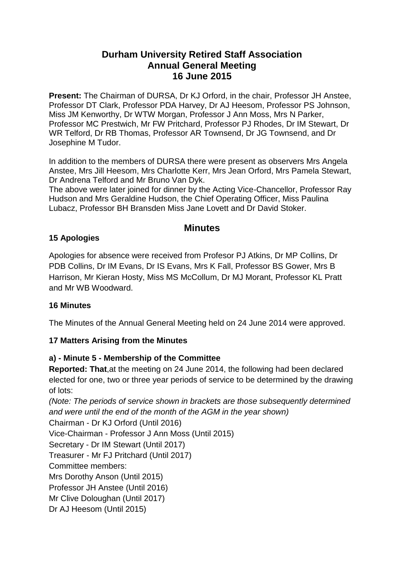# **Durham University Retired Staff Association Annual General Meeting 16 June 2015**

**Present:** The Chairman of DURSA, Dr KJ Orford, in the chair, Professor JH Anstee, Professor DT Clark, Professor PDA Harvey, Dr AJ Heesom, Professor PS Johnson, Miss JM Kenworthy, Dr WTW Morgan, Professor J Ann Moss, Mrs N Parker, Professor MC Prestwich, Mr FW Pritchard, Professor PJ Rhodes, Dr IM Stewart, Dr WR Telford, Dr RB Thomas, Professor AR Townsend, Dr JG Townsend, and Dr Josephine M Tudor.

In addition to the members of DURSA there were present as observers Mrs Angela Anstee, Mrs Jill Heesom, Mrs Charlotte Kerr, Mrs Jean Orford, Mrs Pamela Stewart, Dr Andrena Telford and Mr Bruno Van Dyk.

The above were later joined for dinner by the Acting Vice-Chancellor, Professor Ray Hudson and Mrs Geraldine Hudson, the Chief Operating Officer, Miss Paulina Lubacz, Professor BH Bransden Miss Jane Lovett and Dr David Stoker.

# **Minutes**

## **15 Apologies**

Apologies for absence were received from Profesor PJ Atkins, Dr MP Collins, Dr PDB Collins, Dr IM Evans, Dr IS Evans, Mrs K Fall, Professor BS Gower, Mrs B Harrison, Mr Kieran Hosty, Miss MS McCollum, Dr MJ Morant, Professor KL Pratt and Mr WB Woodward.

### **16 Minutes**

The Minutes of the Annual General Meeting held on 24 June 2014 were approved.

# **17 Matters Arising from the Minutes**

# **a) - Minute 5 - Membership of the Committee**

**Reported: That**,at the meeting on 24 June 2014, the following had been declared elected for one, two or three year periods of service to be determined by the drawing of lots:

*(Note: The periods of service shown in brackets are those subsequently determined and were until the end of the month of the AGM in the year shown)* Chairman - Dr KJ Orford (Until 2016)

Vice-Chairman - Professor J Ann Moss (Until 2015)

Secretary - Dr IM Stewart (Until 2017)

Treasurer - Mr FJ Pritchard (Until 2017)

Committee members:

Mrs Dorothy Anson (Until 2015)

Professor JH Anstee (Until 2016)

Mr Clive Doloughan (Until 2017)

Dr AJ Heesom (Until 2015)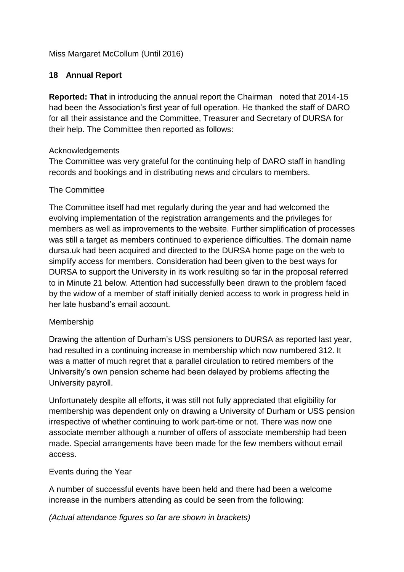Miss Margaret McCollum (Until 2016)

## **18 Annual Report**

**Reported: That** in introducing the annual report the Chairman noted that 2014-15 had been the Association's first year of full operation. He thanked the staff of DARO for all their assistance and the Committee, Treasurer and Secretary of DURSA for their help. The Committee then reported as follows:

### Acknowledgements

The Committee was very grateful for the continuing help of DARO staff in handling records and bookings and in distributing news and circulars to members.

### The Committee

The Committee itself had met regularly during the year and had welcomed the evolving implementation of the registration arrangements and the privileges for members as well as improvements to the website. Further simplification of processes was still a target as members continued to experience difficulties. The domain name dursa.uk had been acquired and directed to the DURSA home page on the web to simplify access for members. Consideration had been given to the best ways for DURSA to support the University in its work resulting so far in the proposal referred to in Minute 21 below. Attention had successfully been drawn to the problem faced by the widow of a member of staff initially denied access to work in progress held in her late husband's email account.

#### Membership

Drawing the attention of Durham's USS pensioners to DURSA as reported last year, had resulted in a continuing increase in membership which now numbered 312. It was a matter of much regret that a parallel circulation to retired members of the University's own pension scheme had been delayed by problems affecting the University payroll.

Unfortunately despite all efforts, it was still not fully appreciated that eligibility for membership was dependent only on drawing a University of Durham or USS pension irrespective of whether continuing to work part-time or not. There was now one associate member although a number of offers of associate membership had been made. Special arrangements have been made for the few members without email access.

### Events during the Year

A number of successful events have been held and there had been a welcome increase in the numbers attending as could be seen from the following:

*(Actual attendance figures so far are shown in brackets)*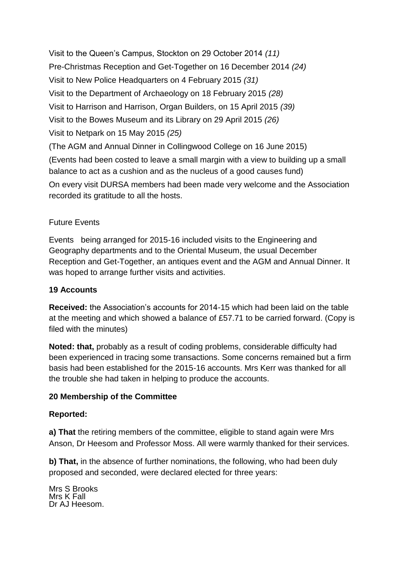Visit to the Queen's Campus, Stockton on 29 October 2014 *(11)* Pre-Christmas Reception and Get-Together on 16 December 2014 *(24)* Visit to New Police Headquarters on 4 February 2015 *(31)* Visit to the Department of Archaeology on 18 February 2015 *(28)* Visit to Harrison and Harrison, Organ Builders, on 15 April 2015 *(39)* Visit to the Bowes Museum and its Library on 29 April 2015 *(26)* Visit to Netpark on 15 May 2015 *(25)* (The AGM and Annual Dinner in Collingwood College on 16 June 2015) (Events had been costed to leave a small margin with a view to building up a small balance to act as a cushion and as the nucleus of a good causes fund) On every visit DURSA members had been made very welcome and the Association recorded its gratitude to all the hosts.

## Future Events

Events being arranged for 2015-16 included visits to the Engineering and Geography departments and to the Oriental Museum, the usual December Reception and Get-Together, an antiques event and the AGM and Annual Dinner. It was hoped to arrange further visits and activities.

### **19 Accounts**

**Received:** the Association's accounts for 2014-15 which had been laid on the table at the meeting and which showed a balance of £57.71 to be carried forward. (Copy is filed with the minutes)

**Noted: that,** probably as a result of coding problems, considerable difficulty had been experienced in tracing some transactions. Some concerns remained but a firm basis had been established for the 2015-16 accounts. Mrs Kerr was thanked for all the trouble she had taken in helping to produce the accounts.

### **20 Membership of the Committee**

#### **Reported:**

**a) That** the retiring members of the committee, eligible to stand again were Mrs Anson, Dr Heesom and Professor Moss. All were warmly thanked for their services.

**b) That,** in the absence of further nominations, the following, who had been duly proposed and seconded, were declared elected for three years:

Mrs S Brooks Mrs K Fall Dr AJ Heesom.